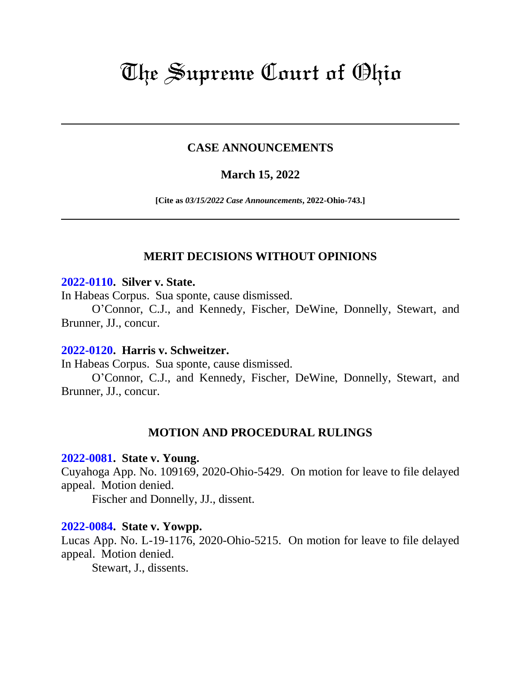# The Supreme Court of Ohio

# **CASE ANNOUNCEMENTS**

# **March 15, 2022**

**[Cite as** *03/15/2022 Case Announcements***, 2022-Ohio-743.]**

# **MERIT DECISIONS WITHOUT OPINIONS**

#### **[2022-0110.](https://www.supremecourt.ohio.gov/Clerk/ecms/#/caseinfo/2022/0110) Silver v. State.**

In Habeas Corpus. Sua sponte, cause dismissed.

O'Connor, C.J., and Kennedy, Fischer, DeWine, Donnelly, Stewart, and Brunner, JJ., concur.

#### **[2022-0120.](https://www.supremecourt.ohio.gov/Clerk/ecms/#/caseinfo/2022/0120) Harris v. Schweitzer.**

In Habeas Corpus. Sua sponte, cause dismissed.

O'Connor, C.J., and Kennedy, Fischer, DeWine, Donnelly, Stewart, and Brunner, JJ., concur.

#### **MOTION AND PROCEDURAL RULINGS**

#### **[2022-0081.](https://www.supremecourt.ohio.gov/Clerk/ecms/#/caseinfo/2022/0081) State v. Young.**

Cuyahoga App. No. 109169, 2020-Ohio-5429. On motion for leave to file delayed appeal. Motion denied.

Fischer and Donnelly, JJ., dissent.

#### **[2022-0084.](https://www.supremecourt.ohio.gov/Clerk/ecms/#/caseinfo/2022/0084) State v. Yowpp.**

Lucas App. No. L-19-1176, 2020-Ohio-5215. On motion for leave to file delayed appeal. Motion denied.

Stewart, J., dissents.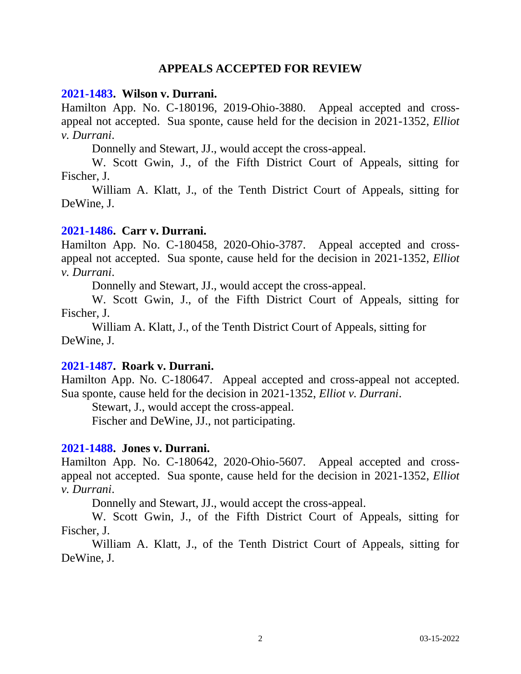# **APPEALS ACCEPTED FOR REVIEW**

#### **[2021-1483.](https://www.supremecourt.ohio.gov/Clerk/ecms/#/caseinfo/2021/1483) Wilson v. Durrani.**

Hamilton App. No. C-180196, 2019-Ohio-3880. Appeal accepted and crossappeal not accepted. Sua sponte, cause held for the decision in 2021-1352, *Elliot v. Durrani*.

Donnelly and Stewart, JJ., would accept the cross-appeal.

W. Scott Gwin, J., of the Fifth District Court of Appeals, sitting for Fischer, J.

William A. Klatt, J., of the Tenth District Court of Appeals, sitting for DeWine, J.

#### **[2021-1486.](https://www.supremecourt.ohio.gov/Clerk/ecms/#/caseinfo/2021/1486) Carr v. Durrani.**

Hamilton App. No. C-180458, 2020-Ohio-3787. Appeal accepted and crossappeal not accepted. Sua sponte, cause held for the decision in 2021-1352, *Elliot v. Durrani*.

Donnelly and Stewart, JJ., would accept the cross-appeal.

W. Scott Gwin, J., of the Fifth District Court of Appeals, sitting for Fischer, J.

William A. Klatt, J., of the Tenth District Court of Appeals, sitting for DeWine, J.

#### **[2021-1487.](https://www.supremecourt.ohio.gov/Clerk/ecms/#/caseinfo/2021/1487) Roark v. Durrani.**

Hamilton App. No. C-180647. Appeal accepted and cross-appeal not accepted. Sua sponte, cause held for the decision in 2021-1352, *Elliot v. Durrani*.

Stewart, J., would accept the cross-appeal.

Fischer and DeWine, JJ., not participating.

#### **[2021-1488.](https://www.supremecourt.ohio.gov/Clerk/ecms/#/caseinfo/2021/1488) Jones v. Durrani.**

Hamilton App. No. C-180642, 2020-Ohio-5607. Appeal accepted and crossappeal not accepted. Sua sponte, cause held for the decision in 2021-1352, *Elliot v. Durrani*.

Donnelly and Stewart, JJ., would accept the cross-appeal.

W. Scott Gwin, J., of the Fifth District Court of Appeals, sitting for Fischer, J.

William A. Klatt, J., of the Tenth District Court of Appeals, sitting for DeWine, J.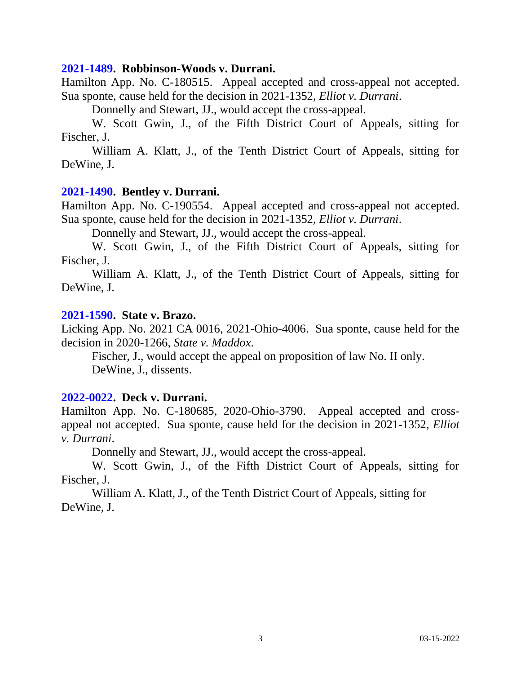#### **[2021-1489.](https://www.supremecourt.ohio.gov/Clerk/ecms/#/caseinfo/2021/1489) Robbinson-Woods v. Durrani.**

Hamilton App. No. C-180515. Appeal accepted and cross-appeal not accepted. Sua sponte, cause held for the decision in 2021-1352, *Elliot v. Durrani*.

Donnelly and Stewart, JJ., would accept the cross-appeal.

W. Scott Gwin, J., of the Fifth District Court of Appeals, sitting for Fischer, J.

William A. Klatt, J., of the Tenth District Court of Appeals, sitting for DeWine, J.

#### **[2021-1490.](https://www.supremecourt.ohio.gov/Clerk/ecms/#/caseinfo/2021/1490) Bentley v. Durrani.**

Hamilton App. No. C-190554. Appeal accepted and cross-appeal not accepted. Sua sponte, cause held for the decision in 2021-1352, *Elliot v. Durrani*.

Donnelly and Stewart, JJ., would accept the cross-appeal.

W. Scott Gwin, J., of the Fifth District Court of Appeals, sitting for Fischer, J.

William A. Klatt, J., of the Tenth District Court of Appeals, sitting for DeWine, J.

#### **[2021-1590.](https://www.supremecourt.ohio.gov/Clerk/ecms/#/caseinfo/2021/1590) State v. Brazo.**

Licking App. No. 2021 CA 0016, 2021-Ohio-4006. Sua sponte, cause held for the decision in 2020-1266, *State v. Maddox*.

Fischer, J., would accept the appeal on proposition of law No. II only. DeWine, J., dissents.

#### **[2022-0022.](https://www.supremecourt.ohio.gov/Clerk/ecms/#/caseinfo/2022/0022) Deck v. Durrani.**

Hamilton App. No. C-180685, 2020-Ohio-3790. Appeal accepted and crossappeal not accepted. Sua sponte, cause held for the decision in 2021-1352, *Elliot v. Durrani*.

Donnelly and Stewart, JJ., would accept the cross-appeal.

W. Scott Gwin, J., of the Fifth District Court of Appeals, sitting for Fischer, J.

William A. Klatt, J., of the Tenth District Court of Appeals, sitting for DeWine, J.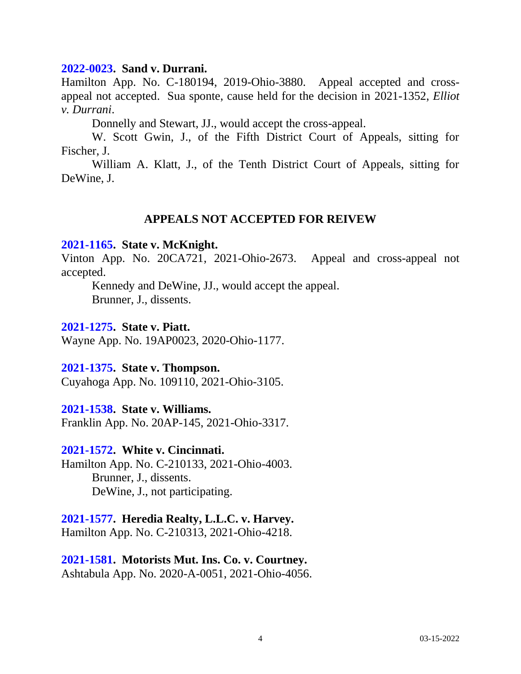#### **[2022-0023.](https://www.supremecourt.ohio.gov/Clerk/ecms/#/caseinfo/2022/0023) Sand v. Durrani.**

Hamilton App. No. C-180194, 2019-Ohio-3880. Appeal accepted and crossappeal not accepted. Sua sponte, cause held for the decision in 2021-1352, *Elliot v. Durrani*.

Donnelly and Stewart, JJ., would accept the cross-appeal.

W. Scott Gwin, J., of the Fifth District Court of Appeals, sitting for Fischer, J.

William A. Klatt, J., of the Tenth District Court of Appeals, sitting for DeWine, J.

# **APPEALS NOT ACCEPTED FOR REIVEW**

#### **[2021-1165.](https://www.supremecourt.ohio.gov/Clerk/ecms/#/caseinfo/2021/1165) State v. McKnight.**

Vinton App. No. 20CA721, 2021-Ohio-2673. Appeal and cross-appeal not accepted.

Kennedy and DeWine, JJ., would accept the appeal. Brunner, J., dissents.

#### **[2021-1275.](https://www.supremecourt.ohio.gov/Clerk/ecms/#/caseinfo/2021/1275) State v. Piatt.**

Wayne App. No. 19AP0023, 2020-Ohio-1177.

#### **[2021-1375.](https://www.supremecourt.ohio.gov/Clerk/ecms/#/caseinfo/2021/1375) State v. Thompson.**

Cuyahoga App. No. 109110, 2021-Ohio-3105.

# **[2021-1538.](https://www.supremecourt.ohio.gov/Clerk/ecms/#/caseinfo/2021/1538) State v. Williams.**

Franklin App. No. 20AP-145, 2021-Ohio-3317.

### **[2021-1572.](https://www.supremecourt.ohio.gov/Clerk/ecms/#/caseinfo/2021/1572) White v. Cincinnati.**

Hamilton App. No. C-210133, 2021-Ohio-4003. Brunner, J., dissents. DeWine, J., not participating.

# **[2021-1577.](https://www.supremecourt.ohio.gov/Clerk/ecms/#/caseinfo/2021/1577) Heredia Realty, L.L.C. v. Harvey.**

Hamilton App. No. C-210313, 2021-Ohio-4218.

# **[2021-1581.](https://www.supremecourt.ohio.gov/Clerk/ecms/#/caseinfo/2021/1581) Motorists Mut. Ins. Co. v. Courtney.**

Ashtabula App. No. 2020-A-0051, 2021-Ohio-4056.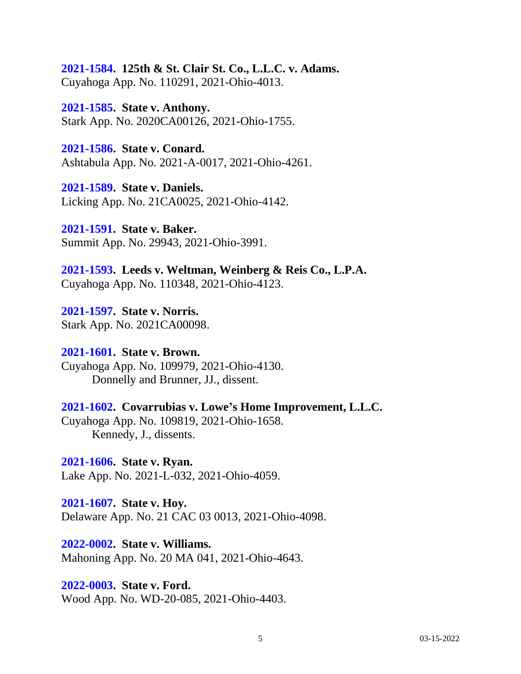# **[2021-1584.](https://www.supremecourt.ohio.gov/Clerk/ecms/#/caseinfo/2021/1584) 125th & St. Clair St. Co., L.L.C. v. Adams.**

Cuyahoga App. No. 110291, 2021-Ohio-4013.

**[2021-1585.](https://www.supremecourt.ohio.gov/Clerk/ecms/#/caseinfo/2021/1585) State v. Anthony.** Stark App. No. 2020CA00126, 2021-Ohio-1755.

**[2021-1586.](https://www.supremecourt.ohio.gov/Clerk/ecms/#/caseinfo/2021/1586) State v. Conard.** Ashtabula App. No. 2021-A-0017, 2021-Ohio-4261.

**[2021-1589.](https://www.supremecourt.ohio.gov/Clerk/ecms/#/caseinfo/2021/1589) State v. Daniels.** Licking App. No. 21CA0025, 2021-Ohio-4142.

**[2021-1591.](https://www.supremecourt.ohio.gov/Clerk/ecms/#/caseinfo/2021/1591) State v. Baker.** Summit App. No. 29943, 2021-Ohio-3991.

**[2021-1593.](https://www.supremecourt.ohio.gov/Clerk/ecms/#/caseinfo/2021/1593) Leeds v. Weltman, Weinberg & Reis Co., L.P.A.** Cuyahoga App. No. 110348, 2021-Ohio-4123.

**[2021-1597.](https://www.supremecourt.ohio.gov/Clerk/ecms/#/caseinfo/2021/1597) State v. Norris.** Stark App. No. 2021CA00098.

#### **[2021-1601.](https://www.supremecourt.ohio.gov/Clerk/ecms/#/caseinfo/2021/1601) State v. Brown.** Cuyahoga App. No. 109979, 2021-Ohio-4130.

Donnelly and Brunner, JJ., dissent.

# **[2021-1602.](https://www.supremecourt.ohio.gov/Clerk/ecms/#/caseinfo/2021/1602) Covarrubias v. Lowe's Home Improvement, L.L.C.** Cuyahoga App. No. 109819, 2021-Ohio-1658. Kennedy, J., dissents.

**[2021-1606.](https://www.supremecourt.ohio.gov/Clerk/ecms/#/caseinfo/2021/1606) State v. Ryan.** Lake App. No. 2021-L-032, 2021-Ohio-4059.

**[2021-1607.](https://www.supremecourt.ohio.gov/Clerk/ecms/#/caseinfo/2021/1607) State v. Hoy.**

Delaware App. No. 21 CAC 03 0013, 2021-Ohio-4098.

**[2022-0002.](https://www.supremecourt.ohio.gov/Clerk/ecms/#/caseinfo/2022/0002) State v. Williams.** Mahoning App. No. 20 MA 041, 2021-Ohio-4643.

**[2022-0003.](https://www.supremecourt.ohio.gov/Clerk/ecms/#/caseinfo/2022/0003) State v. Ford.** Wood App. No. WD-20-085, 2021-Ohio-4403.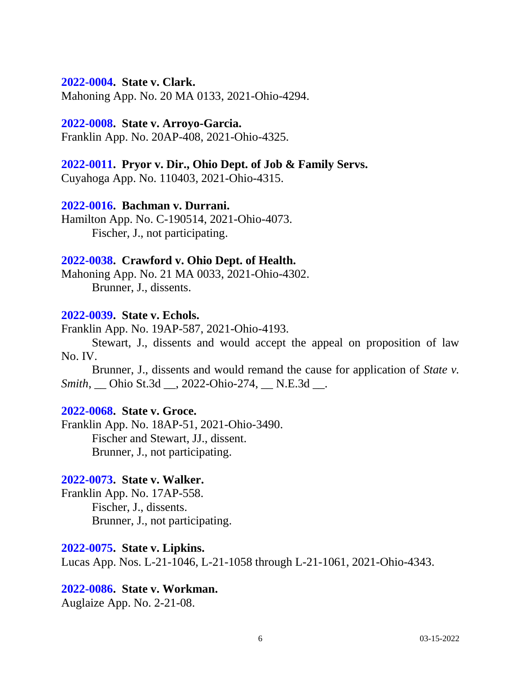#### **[2022-0004.](https://www.supremecourt.ohio.gov/Clerk/ecms/#/caseinfo/2022/0004) State v. Clark.**

Mahoning App. No. 20 MA 0133, 2021-Ohio-4294.

## **[2022-0008.](https://www.supremecourt.ohio.gov/Clerk/ecms/#/caseinfo/2022/0008) State v. Arroyo-Garcia.**

Franklin App. No. 20AP-408, 2021-Ohio-4325.

# **[2022-0011.](https://www.supremecourt.ohio.gov/Clerk/ecms/#/caseinfo/2022/0011) Pryor v. Dir., Ohio Dept. of Job & Family Servs.**

Cuyahoga App. No. 110403, 2021-Ohio-4315.

# **[2022-0016.](https://www.supremecourt.ohio.gov/Clerk/ecms/#/caseinfo/2022/0016) Bachman v. Durrani.**

Hamilton App. No. C-190514, 2021-Ohio-4073. Fischer, J., not participating.

# **[2022-0038.](https://www.supremecourt.ohio.gov/Clerk/ecms/#/caseinfo/2022/0038) Crawford v. Ohio Dept. of Health.**

Mahoning App. No. 21 MA 0033, 2021-Ohio-4302. Brunner, J., dissents.

# **[2022-0039.](https://www.supremecourt.ohio.gov/Clerk/ecms/#/caseinfo/2022/0039) State v. Echols.**

Franklin App. No. 19AP-587, 2021-Ohio-4193.

Stewart, J., dissents and would accept the appeal on proposition of law No. IV.

Brunner, J., dissents and would remand the cause for application of *State v. Smith*, \_\_ Ohio St.3d \_\_, 2022-Ohio-274, \_\_ N.E.3d \_\_.

# **[2022-0068.](https://www.supremecourt.ohio.gov/Clerk/ecms/#/caseinfo/2022/0068) State v. Groce.**

Franklin App. No. 18AP-51, 2021-Ohio-3490. Fischer and Stewart, JJ., dissent. Brunner, J., not participating.

# **[2022-0073.](https://www.supremecourt.ohio.gov/Clerk/ecms/#/caseinfo/2022/0073) State v. Walker.**

Franklin App. No. 17AP-558. Fischer, J., dissents. Brunner, J., not participating.

#### **[2022-0075.](https://www.supremecourt.ohio.gov/Clerk/ecms/#/caseinfo/2022/0075) State v. Lipkins.**

Lucas App. Nos. L-21-1046, L-21-1058 through L-21-1061, 2021-Ohio-4343.

#### **[2022-0086.](https://www.supremecourt.ohio.gov/Clerk/ecms/#/caseinfo/2022/0086) State v. Workman.**

Auglaize App. No. 2-21-08.